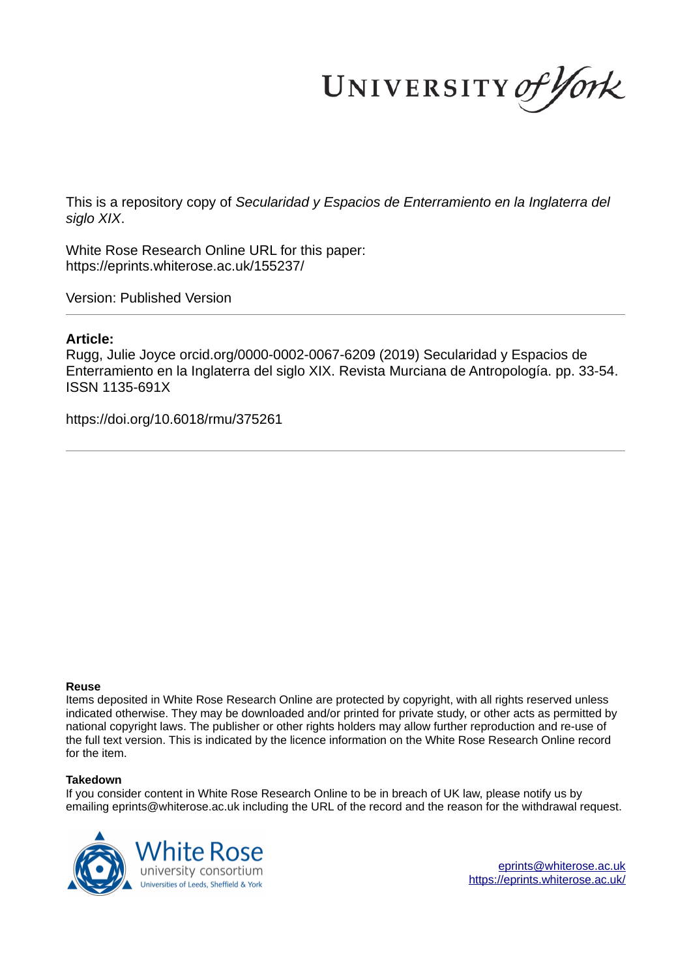UNIVERSITY of York

This is a repository copy of *Secularidad y Espacios de Enterramiento en la Inglaterra del siglo XIX*.

White Rose Research Online URL for this paper: https://eprints.whiterose.ac.uk/155237/

Version: Published Version

# **Article:**

Rugg, Julie Joyce orcid.org/0000-0002-0067-6209 (2019) Secularidad y Espacios de Enterramiento en la Inglaterra del siglo XIX. Revista Murciana de Antropología. pp. 33-54. ISSN 1135-691X

https://doi.org/10.6018/rmu/375261

## **Reuse**

Items deposited in White Rose Research Online are protected by copyright, with all rights reserved unless indicated otherwise. They may be downloaded and/or printed for private study, or other acts as permitted by national copyright laws. The publisher or other rights holders may allow further reproduction and re-use of the full text version. This is indicated by the licence information on the White Rose Research Online record for the item.

## **Takedown**

If you consider content in White Rose Research Online to be in breach of UK law, please notify us by emailing eprints@whiterose.ac.uk including the URL of the record and the reason for the withdrawal request.



eprints@whiterose.ac.uk https://eprints.whiterose.ac.uk/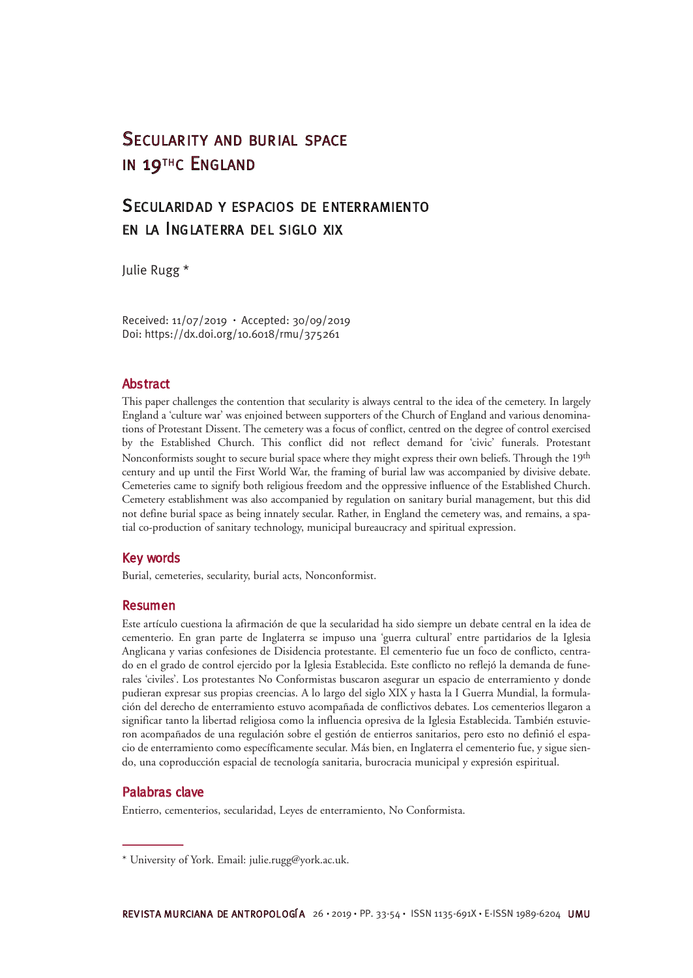# SECULARIDAD Y ESPACIOS DE ENTERRAMIENTO EN LA INGLATERRA DEL SIGLO XIX

Julie Rugg \*

Received: 11/07/2019 . Accepted: 30/09/2019 Doi: https://dx.doi.org/10.6018/rmu/375261

### **Abstract**

This paper challenges the contention that secularity is always central to the idea of the cemetery. In largely England a 'culture war' was enjoined between supporters of the Church of England and various denominations of Protestant Dissent. The cemetery was a focus of conflict, centred on the degree of control exercised by the Established Church. This conflict did not reflect demand for 'civic' funerals. Protestant Nonconformists sought to secure burial space where they might express their own beliefs. Through the 19th century and up until the First World War, the framing of burial law was accompanied by divisive debate. Cemeteries came to signify both religious freedom and the oppressive influence of the Established Church. Cemetery establishment was also accompanied by regulation on sanitary burial management, but this did not define burial space as being innately secular. Rather, in England the cemetery was, and remains, a spatial co-production of sanitary technology, municipal bureaucracy and spiritual expression.

## Key words

Burial, cemeteries, secularity, burial acts, Nonconformist.

### Resumen

Este artículo cuestiona la afirmación de que la secularidad ha sido siempre un debate central en la idea de cementerio. En gran parte de Inglaterra se impuso una 'guerra cultural' entre partidarios de la Iglesia Anglicana y varias confesiones de Disidencia protestante. El cementerio fue un foco de conflicto, centrado en el grado de control ejercido por la Iglesia Establecida. Este conflicto no reflejó la demanda de funerales 'civiles'. Los protestantes No Conformistas buscaron asegurar un espacio de enterramiento y donde pudieran expresar sus propias creencias. A lo largo del siglo XIX y hasta la I Guerra Mundial, la formulación del derecho de enterramiento estuvo acompañada de conflictivos debates. Los cementerios llegaron a significar tanto la libertad religiosa como la influencia opresiva de la Iglesia Establecida. También estuvieron acompañados de una regulación sobre el gestión de entierros sanitarios, pero esto no definió el espacio de enterramiento como específicamente secular. Más bien, en Inglaterra el cementerio fue, y sigue siendo, una coproducción espacial de tecnología sanitaria, burocracia municipal y expresión espiritual.

#### Palabras clave

Entierro, cementerios, secularidad, Leyes de enterramiento, No Conformista.

<sup>\*</sup> University of York. Email: julie.rugg@york.ac.uk.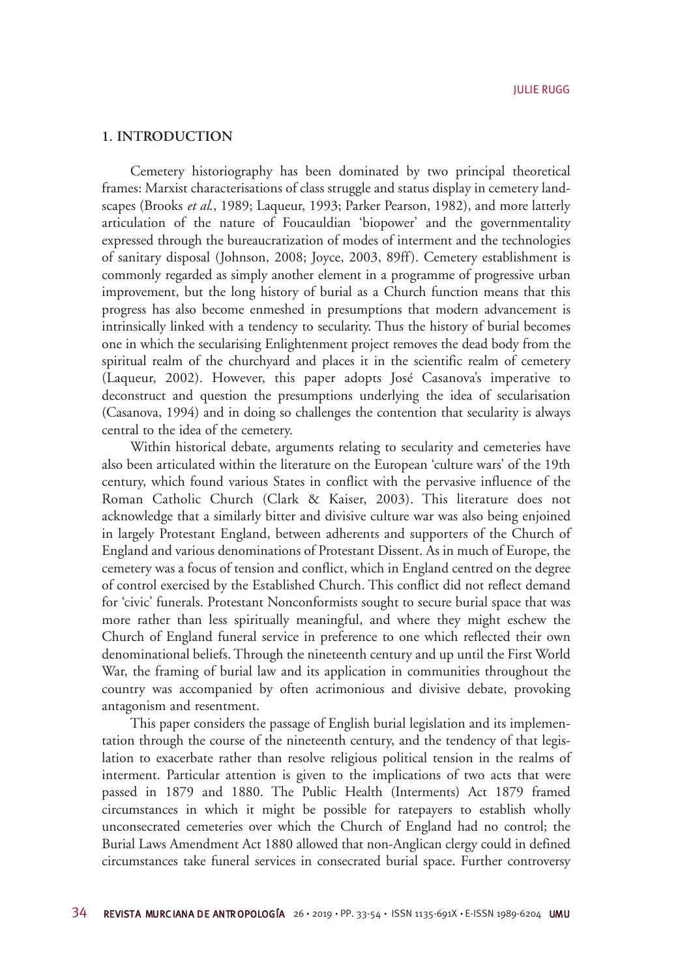### **1. INTRODUCTION**

Cemetery historiography has been dominated by two principal theoretical frames: Marxist characterisations of class struggle and status display in cemetery landscapes (Brooks *et al*., 1989; Laqueur, 1993; Parker Pearson, 1982), and more latterly articulation of the nature of Foucauldian 'biopower' and the governmentality expressed through the bureaucratization of modes of interment and the technologies of sanitary disposal (Johnson, 2008; Joyce, 2003, 89ff). Cemetery establishment is commonly regarded as simply another element in a programme of progressive urban improvement, but the long history of burial as a Church function means that this progress has also become enmeshed in presumptions that modern advancement is intrinsically linked with a tendency to secularity. Thus the history of burial becomes one in which the secularising Enlightenment project removes the dead body from the spiritual realm of the churchyard and places it in the scientific realm of cemetery (Laqueur, 2002). However, this paper adopts José Casanova's imperative to deconstruct and question the presumptions underlying the idea of secularisation (Casanova, 1994) and in doing so challenges the contention that secularity is always central to the idea of the cemetery.

Within historical debate, arguments relating to secularity and cemeteries have also been articulated within the literature on the European 'culture wars' of the 19th century, which found various States in conflict with the pervasive influence of the Roman Catholic Church (Clark & Kaiser, 2003). This literature does not acknowledge that a similarly bitter and divisive culture war was also being enjoined in largely Protestant England, between adherents and supporters of the Church of England and various denominations of Protestant Dissent. As in much of Europe, the cemetery was a focus of tension and conflict, which in England centred on the degree of control exercised by the Established Church. This conflict did not reflect demand for 'civic' funerals. Protestant Nonconformists sought to secure burial space that was more rather than less spiritually meaningful, and where they might eschew the Church of England funeral service in preference to one which reflected their own denominational beliefs. Through the nineteenth century and up until the First World War, the framing of burial law and its application in communities throughout the country was accompanied by often acrimonious and divisive debate, provoking antagonism and resentment.

This paper considers the passage of English burial legislation and its implementation through the course of the nineteenth century, and the tendency of that legislation to exacerbate rather than resolve religious political tension in the realms of interment. Particular attention is given to the implications of two acts that were passed in 1879 and 1880. The Public Health (Interments) Act 1879 framed circumstances in which it might be possible for ratepayers to establish wholly unconsecrated cemeteries over which the Church of England had no control; the Burial Laws Amendment Act 1880 allowed that non-Anglican clergy could in defined circumstances take funeral services in consecrated burial space. Further controversy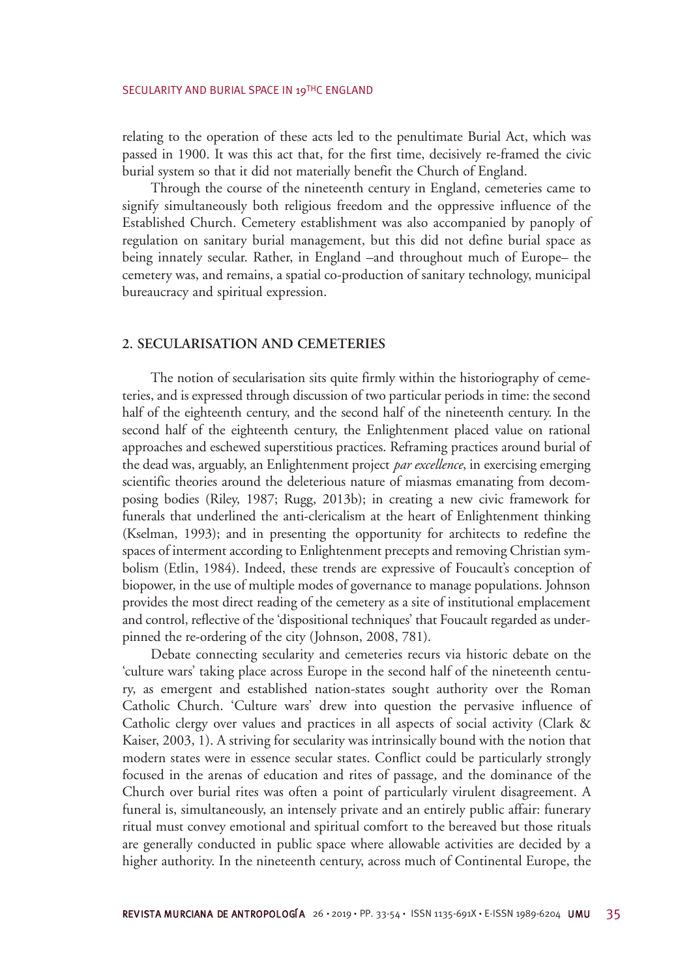relating to the operation of these acts led to the penultimate Burial Act, which was passed in 1900. It was this act that, for the first time, decisively re-framed the civic burial system so that it did not materially benefit the Church of England.

Through the course of the nineteenth century in England, cemeteries came to signify simultaneously both religious freedom and the oppressive influence of the Established Church. Cemetery establishment was also accompanied by panoply of regulation on sanitary burial management, but this did not define burial space as being innately secular. Rather, in England –and throughout much of Europe– the cemetery was, and remains, a spatial co-production of sanitary technology, municipal bureaucracy and spiritual expression.

## **2. SECULARISATION AND CEMETERIES**

The notion of secularisation sits quite firmly within the historiography of cemeteries, and is expressed through discussion of two particular periods in time: the second half of the eighteenth century, and the second half of the nineteenth century. In the second half of the eighteenth century, the Enlightenment placed value on rational approaches and eschewed superstitious practices. Reframing practices around burial of the dead was, arguably, an Enlightenment project *par excellence*, in exercising emerging scientific theories around the deleterious nature of miasmas emanating from decomposing bodies (Riley, 1987; Rugg, 2013b); in creating a new civic framework for funerals that underlined the anti-clericalism at the heart of Enlightenment thinking (Kselman, 1993); and in presenting the opportunity for architects to redefine the spaces of interment according to Enlightenment precepts and removing Christian symbolism (Etlin, 1984). Indeed, these trends are expressive of Foucault's conception of biopower, in the use of multiple modes of governance to manage populations. Johnson provides the most direct reading of the cemetery as a site of institutional emplacement and control, reflective of the 'dispositional techniques' that Foucault regarded as underpinned the re-ordering of the city (Johnson, 2008, 781).

Debate connecting secularity and cemeteries recurs via historic debate on the 'culture wars' taking place across Europe in the second half of the nineteenth century, as emergent and established nation-states sought authority over the Roman Catholic Church. 'Culture wars' drew into question the pervasive influence of Catholic clergy over values and practices in all aspects of social activity (Clark & Kaiser, 2003, 1). A striving for secularity was intrinsically bound with the notion that modern states were in essence secular states. Conflict could be particularly strongly focused in the arenas of education and rites of passage, and the dominance of the Church over burial rites was often a point of particularly virulent disagreement. A funeral is, simultaneously, an intensely private and an entirely public affair: funerary ritual must convey emotional and spiritual comfort to the bereaved but those rituals are generally conducted in public space where allowable activities are decided by a higher authority. In the nineteenth century, across much of Continental Europe, the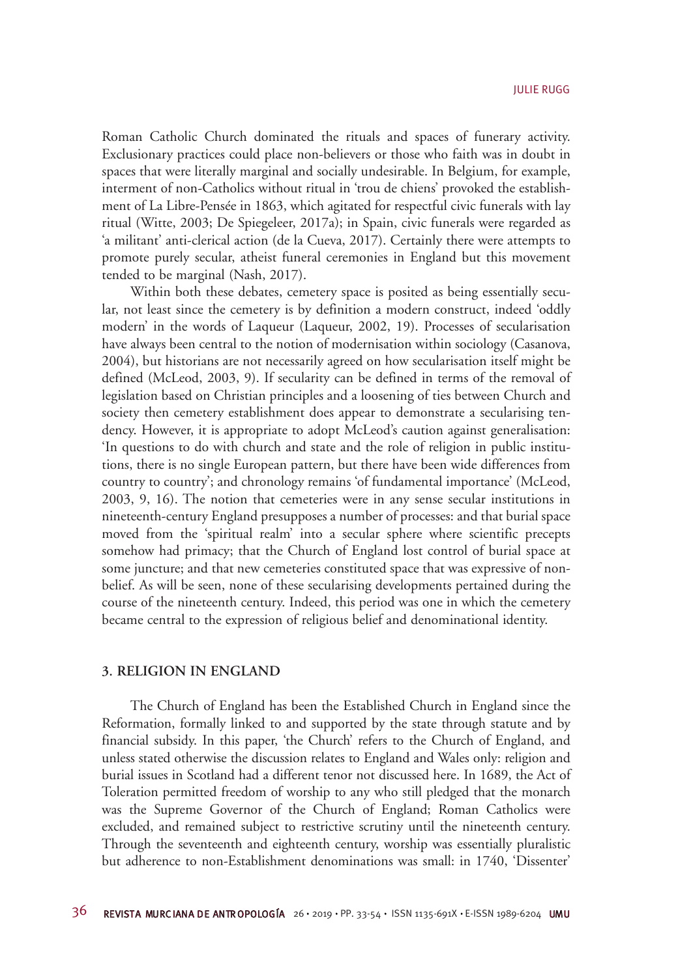Roman Catholic Church dominated the rituals and spaces of funerary activity. Exclusionary practices could place non-believers or those who faith was in doubt in spaces that were literally marginal and socially undesirable. In Belgium, for example, interment of non-Catholics without ritual in 'trou de chiens' provoked the establishment of La Libre-Pensée in 1863, which agitated for respectful civic funerals with lay ritual (Witte, 2003; De Spiegeleer, 2017a); in Spain, civic funerals were regarded as 'a militant' anti-clerical action (de la Cueva, 2017). Certainly there were attempts to promote purely secular, atheist funeral ceremonies in England but this movement tended to be marginal (Nash, 2017).

Within both these debates, cemetery space is posited as being essentially secular, not least since the cemetery is by definition a modern construct, indeed 'oddly modern' in the words of Laqueur (Laqueur, 2002, 19). Processes of secularisation have always been central to the notion of modernisation within sociology (Casanova, 2004), but historians are not necessarily agreed on how secularisation itself might be defined (McLeod, 2003, 9). If secularity can be defined in terms of the removal of legislation based on Christian principles and a loosening of ties between Church and society then cemetery establishment does appear to demonstrate a secularising tendency. However, it is appropriate to adopt McLeod's caution against generalisation: 'In questions to do with church and state and the role of religion in public institutions, there is no single European pattern, but there have been wide differences from country to country'; and chronology remains 'of fundamental importance' (McLeod, 2003, 9, 16). The notion that cemeteries were in any sense secular institutions in nineteenth-century England presupposes a number of processes: and that burial space moved from the 'spiritual realm' into a secular sphere where scientific precepts somehow had primacy; that the Church of England lost control of burial space at some juncture; and that new cemeteries constituted space that was expressive of nonbelief. As will be seen, none of these secularising developments pertained during the course of the nineteenth century. Indeed, this period was one in which the cemetery became central to the expression of religious belief and denominational identity.

## **3. RELIGION IN ENGLAND**

The Church of England has been the Established Church in England since the Reformation, formally linked to and supported by the state through statute and by financial subsidy. In this paper, 'the Church' refers to the Church of England, and unless stated otherwise the discussion relates to England and Wales only: religion and burial issues in Scotland had a different tenor not discussed here. In 1689, the Act of Toleration permitted freedom of worship to any who still pledged that the monarch was the Supreme Governor of the Church of England; Roman Catholics were excluded, and remained subject to restrictive scrutiny until the nineteenth century. Through the seventeenth and eighteenth century, worship was essentially pluralistic but adherence to non-Establishment denominations was small: in 1740, 'Dissenter'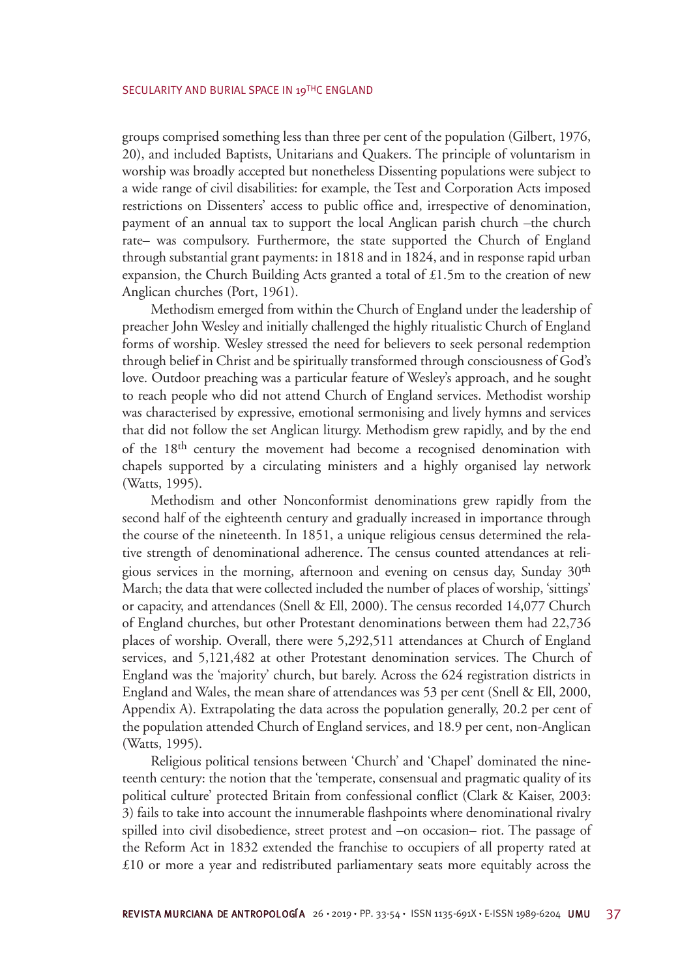groups comprised something less than three per cent of the population (Gilbert, 1976, 20), and included Baptists, Unitarians and Quakers. The principle of voluntarism in worship was broadly accepted but nonetheless Dissenting populations were subject to a wide range of civil disabilities: for example, the Test and Corporation Acts imposed restrictions on Dissenters' access to public office and, irrespective of denomination, payment of an annual tax to support the local Anglican parish church –the church rate– was compulsory. Furthermore, the state supported the Church of England through substantial grant payments: in 1818 and in 1824, and in response rapid urban expansion, the Church Building Acts granted a total of £1.5m to the creation of new Anglican churches (Port, 1961).

Methodism emerged from within the Church of England under the leadership of preacher John Wesley and initially challenged the highly ritualistic Church of England forms of worship. Wesley stressed the need for believers to seek personal redemption through belief in Christ and be spiritually transformed through consciousness of God's love. Outdoor preaching was a particular feature of Wesley's approach, and he sought to reach people who did not attend Church of England services. Methodist worship was characterised by expressive, emotional sermonising and lively hymns and services that did not follow the set Anglican liturgy. Methodism grew rapidly, and by the end of the 18<sup>th</sup> century the movement had become a recognised denomination with chapels supported by a circulating ministers and a highly organised lay network (Watts, 1995).

Methodism and other Nonconformist denominations grew rapidly from the second half of the eighteenth century and gradually increased in importance through the course of the nineteenth. In 1851, a unique religious census determined the relative strength of denominational adherence. The census counted attendances at religious services in the morning, afternoon and evening on census day, Sunday 30th March; the data that were collected included the number of places of worship, 'sittings' or capacity, and attendances (Snell & Ell, 2000). The census recorded 14,077 Church of England churches, but other Protestant denominations between them had 22,736 places of worship. Overall, there were 5,292,511 attendances at Church of England services, and 5,121,482 at other Protestant denomination services. The Church of England was the 'majority' church, but barely. Across the 624 registration districts in England and Wales, the mean share of attendances was 53 per cent (Snell & Ell, 2000, Appendix A). Extrapolating the data across the population generally, 20.2 per cent of the population attended Church of England services, and 18.9 per cent, non-Anglican (Watts, 1995).

Religious political tensions between 'Church' and 'Chapel' dominated the nineteenth century: the notion that the 'temperate, consensual and pragmatic quality of its political culture' protected Britain from confessional conflict (Clark & Kaiser, 2003: 3) fails to take into account the innumerable flashpoints where denominational rivalry spilled into civil disobedience, street protest and –on occasion– riot. The passage of the Reform Act in 1832 extended the franchise to occupiers of all property rated at £10 or more a year and redistributed parliamentary seats more equitably across the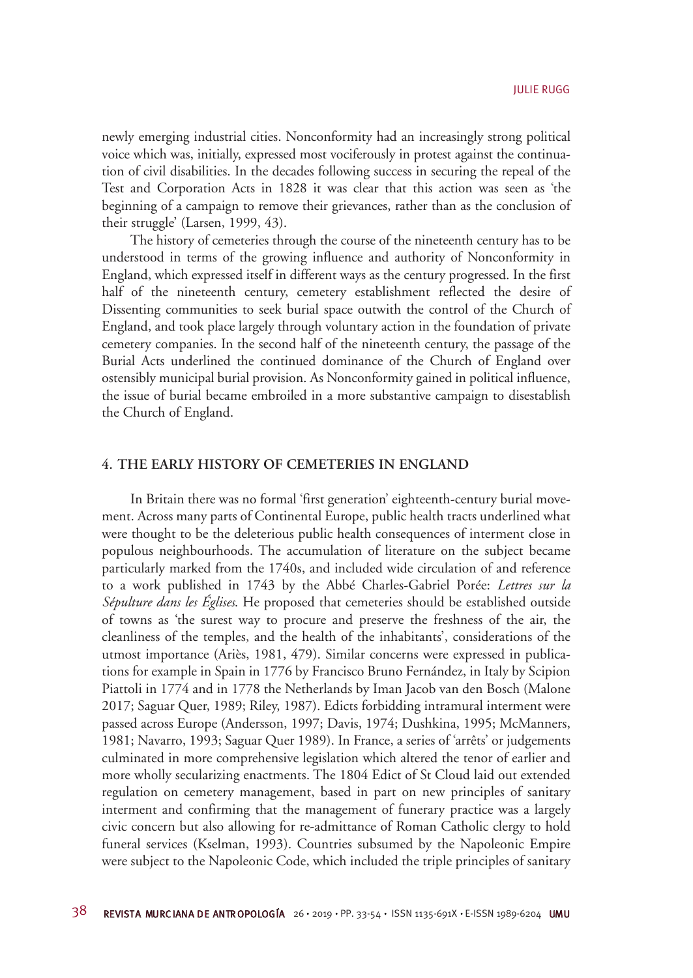newly emerging industrial cities. Nonconformity had an increasingly strong political voice which was, initially, expressed most vociferously in protest against the continuation of civil disabilities. In the decades following success in securing the repeal of the Test and Corporation Acts in 1828 it was clear that this action was seen as 'the beginning of a campaign to remove their grievances, rather than as the conclusion of their struggle' (Larsen, 1999, 43).

The history of cemeteries through the course of the nineteenth century has to be understood in terms of the growing influence and authority of Nonconformity in England, which expressed itself in different ways as the century progressed. In the first half of the nineteenth century, cemetery establishment reflected the desire of Dissenting communities to seek burial space outwith the control of the Church of England, and took place largely through voluntary action in the foundation of private cemetery companies. In the second half of the nineteenth century, the passage of the Burial Acts underlined the continued dominance of the Church of England over ostensibly municipal burial provision. As Nonconformity gained in political influence, the issue of burial became embroiled in a more substantive campaign to disestablish the Church of England.

## **4. THE EARLY HISTORY OF CEMETERIES IN ENGLAND**

In Britain there was no formal 'first generation' eighteenth-century burial movement. Across many parts of Continental Europe, public health tracts underlined what were thought to be the deleterious public health consequences of interment close in populous neighbourhoods. The accumulation of literature on the subject became particularly marked from the 1740s, and included wide circulation of and reference to a work published in 1743 by the Abbé Charles-Gabriel Porée: *Lettres sur la Sépulture dans les Églises*. He proposed that cemeteries should be established outside of towns as 'the surest way to procure and preserve the freshness of the air, the cleanliness of the temples, and the health of the inhabitants', considerations of the utmost importance (Ariès, 1981, 479). Similar concerns were expressed in publications for example in Spain in 1776 by Francisco Bruno Fernández, in Italy by Scipion Piattoli in 1774 and in 1778 the Netherlands by Iman Jacob van den Bosch (Malone 2017; Saguar Quer, 1989; Riley, 1987). Edicts forbidding intramural interment were passed across Europe (Andersson, 1997; Davis, 1974; Dushkina, 1995; McManners, 1981; Navarro, 1993; Saguar Quer 1989). In France, a series of 'arrêts' or judgements culminated in more comprehensive legislation which altered the tenor of earlier and more wholly secularizing enactments. The 1804 Edict of St Cloud laid out extended regulation on cemetery management, based in part on new principles of sanitary interment and confirming that the management of funerary practice was a largely civic concern but also allowing for re-admittance of Roman Catholic clergy to hold funeral services (Kselman, 1993). Countries subsumed by the Napoleonic Empire were subject to the Napoleonic Code, which included the triple principles of sanitary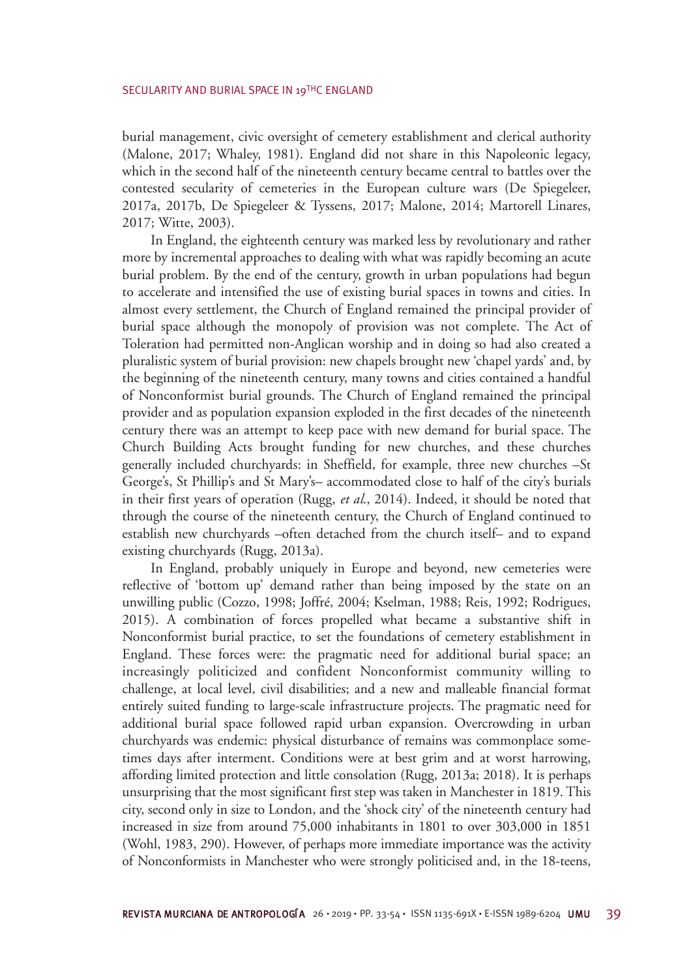burial management, civic oversight of cemetery establishment and clerical authority (Malone, 2017; Whaley, 1981). England did not share in this Napoleonic legacy, which in the second half of the nineteenth century became central to battles over the contested secularity of cemeteries in the European culture wars (De Spiegeleer, 2017a, 2017b, De Spiegeleer & Tyssens, 2017; Malone, 2014; Martorell Linares, 2017; Witte, 2003).

In England, the eighteenth century was marked less by revolutionary and rather more by incremental approaches to dealing with what was rapidly becoming an acute burial problem. By the end of the century, growth in urban populations had begun to accelerate and intensified the use of existing burial spaces in towns and cities. In almost every settlement, the Church of England remained the principal provider of burial space although the monopoly of provision was not complete. The Act of Toleration had permitted non-Anglican worship and in doing so had also created a pluralistic system of burial provision: new chapels brought new 'chapel yards' and, by the beginning of the nineteenth century, many towns and cities contained a handful of Nonconformist burial grounds. The Church of England remained the principal provider and as population expansion exploded in the first decades of the nineteenth century there was an attempt to keep pace with new demand for burial space. The Church Building Acts brought funding for new churches, and these churches generally included churchyards: in Sheffield, for example, three new churches –St George's, St Phillip's and St Mary's– accommodated close to half of the city's burials in their first years of operation (Rugg, *et al*., 2014). Indeed, it should be noted that through the course of the nineteenth century, the Church of England continued to establish new churchyards –often detached from the church itself– and to expand existing churchyards (Rugg, 2013a).

In England, probably uniquely in Europe and beyond, new cemeteries were reflective of 'bottom up' demand rather than being imposed by the state on an unwilling public (Cozzo, 1998; Joffré, 2004; Kselman, 1988; Reis, 1992; Rodrigues, 2015). A combination of forces propelled what became a substantive shift in Nonconformist burial practice, to set the foundations of cemetery establishment in England. These forces were: the pragmatic need for additional burial space; an increasingly politicized and confident Nonconformist community willing to challenge, at local level, civil disabilities; and a new and malleable financial format entirely suited funding to large-scale infrastructure projects. The pragmatic need for additional burial space followed rapid urban expansion. Overcrowding in urban churchyards was endemic: physical disturbance of remains was commonplace sometimes days after interment. Conditions were at best grim and at worst harrowing, affording limited protection and little consolation (Rugg, 2013a; 2018). It is perhaps unsurprising that the most significant first step was taken in Manchester in 1819. This city, second only in size to London, and the 'shock city' of the nineteenth century had increased in size from around 75,000 inhabitants in 1801 to over 303,000 in 1851 (Wohl, 1983, 290). However, of perhaps more immediate importance was the activity of Nonconformists in Manchester who were strongly politicised and, in the 18-teens,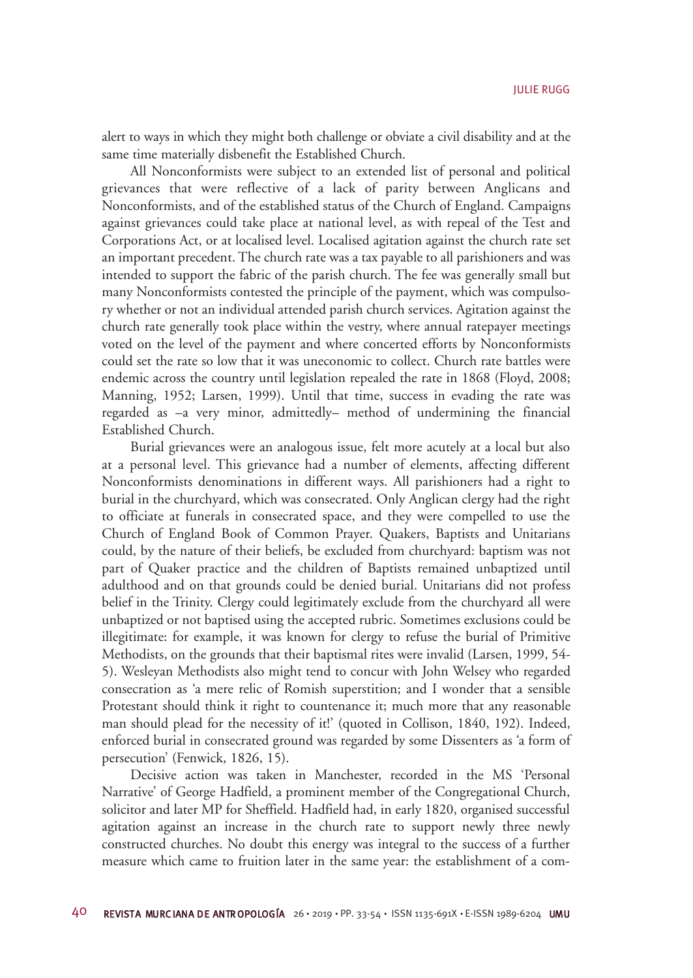alert to ways in which they might both challenge or obviate a civil disability and at the same time materially disbenefit the Established Church.

All Nonconformists were subject to an extended list of personal and political grievances that were reflective of a lack of parity between Anglicans and Nonconformists, and of the established status of the Church of England. Campaigns against grievances could take place at national level, as with repeal of the Test and Corporations Act, or at localised level. Localised agitation against the church rate set an important precedent. The church rate was a tax payable to all parishioners and was intended to support the fabric of the parish church. The fee was generally small but many Nonconformists contested the principle of the payment, which was compulsory whether or not an individual attended parish church services. Agitation against the church rate generally took place within the vestry, where annual ratepayer meetings voted on the level of the payment and where concerted efforts by Nonconformists could set the rate so low that it was uneconomic to collect. Church rate battles were endemic across the country until legislation repealed the rate in 1868 (Floyd, 2008; Manning, 1952; Larsen, 1999). Until that time, success in evading the rate was regarded as –a very minor, admittedly– method of undermining the financial Established Church.

Burial grievances were an analogous issue, felt more acutely at a local but also at a personal level. This grievance had a number of elements, affecting different Nonconformists denominations in different ways. All parishioners had a right to burial in the churchyard, which was consecrated. Only Anglican clergy had the right to officiate at funerals in consecrated space, and they were compelled to use the Church of England Book of Common Prayer. Quakers, Baptists and Unitarians could, by the nature of their beliefs, be excluded from churchyard: baptism was not part of Quaker practice and the children of Baptists remained unbaptized until adulthood and on that grounds could be denied burial. Unitarians did not profess belief in the Trinity. Clergy could legitimately exclude from the churchyard all were unbaptized or not baptised using the accepted rubric. Sometimes exclusions could be illegitimate: for example, it was known for clergy to refuse the burial of Primitive Methodists, on the grounds that their baptismal rites were invalid (Larsen, 1999, 54- 5). Wesleyan Methodists also might tend to concur with John Welsey who regarded consecration as 'a mere relic of Romish superstition; and I wonder that a sensible Protestant should think it right to countenance it; much more that any reasonable man should plead for the necessity of it!' (quoted in Collison, 1840, 192). Indeed, enforced burial in consecrated ground was regarded by some Dissenters as 'a form of persecution' (Fenwick, 1826, 15).

Decisive action was taken in Manchester, recorded in the MS 'Personal Narrative' of George Hadfield, a prominent member of the Congregational Church, solicitor and later MP for Sheffield. Hadfield had, in early 1820, organised successful agitation against an increase in the church rate to support newly three newly constructed churches. No doubt this energy was integral to the success of a further measure which came to fruition later in the same year: the establishment of a com-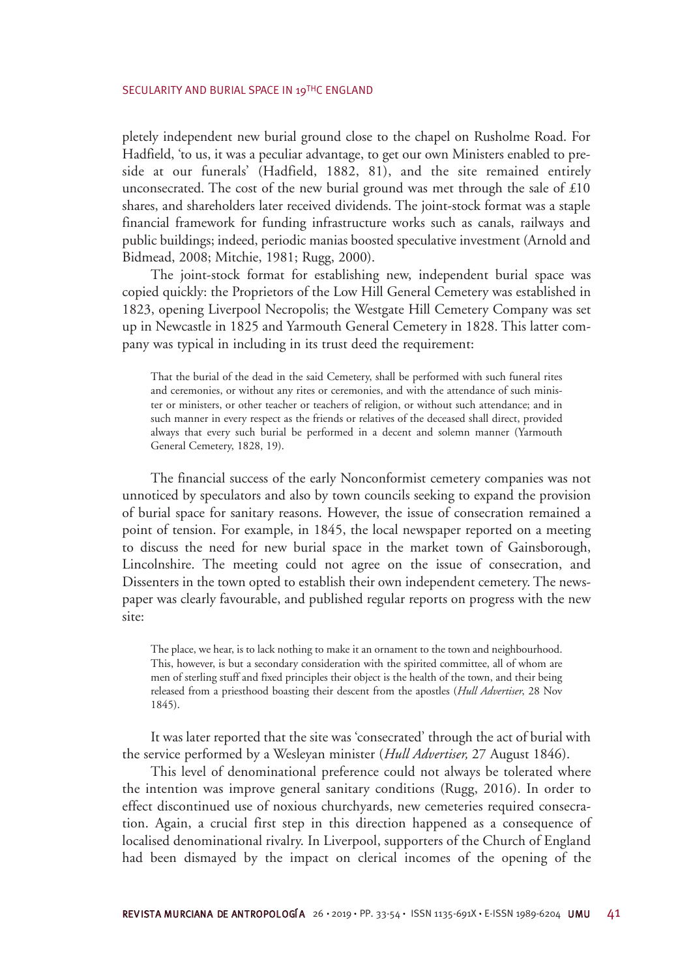pletely independent new burial ground close to the chapel on Rusholme Road. For Hadfield, 'to us, it was a peculiar advantage, to get our own Ministers enabled to preside at our funerals' (Hadfield, 1882, 81), and the site remained entirely unconsecrated. The cost of the new burial ground was met through the sale of £10 shares, and shareholders later received dividends. The joint-stock format was a staple financial framework for funding infrastructure works such as canals, railways and public buildings; indeed, periodic manias boosted speculative investment (Arnold and Bidmead, 2008; Mitchie, 1981; Rugg, 2000).

The joint-stock format for establishing new, independent burial space was copied quickly: the Proprietors of the Low Hill General Cemetery was established in 1823, opening Liverpool Necropolis; the Westgate Hill Cemetery Company was set up in Newcastle in 1825 and Yarmouth General Cemetery in 1828. This latter company was typical in including in its trust deed the requirement:

That the burial of the dead in the said Cemetery, shall be performed with such funeral rites and ceremonies, or without any rites or ceremonies, and with the attendance of such minister or ministers, or other teacher or teachers of religion, or without such attendance; and in such manner in every respect as the friends or relatives of the deceased shall direct, provided always that every such burial be performed in a decent and solemn manner (Yarmouth General Cemetery, 1828, 19).

The financial success of the early Nonconformist cemetery companies was not unnoticed by speculators and also by town councils seeking to expand the provision of burial space for sanitary reasons. However, the issue of consecration remained a point of tension. For example, in 1845, the local newspaper reported on a meeting to discuss the need for new burial space in the market town of Gainsborough, Lincolnshire. The meeting could not agree on the issue of consecration, and Dissenters in the town opted to establish their own independent cemetery. The newspaper was clearly favourable, and published regular reports on progress with the new site:

The place, we hear, is to lack nothing to make it an ornament to the town and neighbourhood. This, however, is but a secondary consideration with the spirited committee, all of whom are men of sterling stuff and fixed principles their object is the health of the town, and their being released from a priesthood boasting their descent from the apostles (*Hull Advertiser*, 28 Nov 1845).

It was later reported that the site was 'consecrated' through the act of burial with the service performed by a Wesleyan minister (*Hull Advertiser,* 27 August 1846).

This level of denominational preference could not always be tolerated where the intention was improve general sanitary conditions (Rugg, 2016). In order to effect discontinued use of noxious churchyards, new cemeteries required consecration. Again, a crucial first step in this direction happened as a consequence of localised denominational rivalry. In Liverpool, supporters of the Church of England had been dismayed by the impact on clerical incomes of the opening of the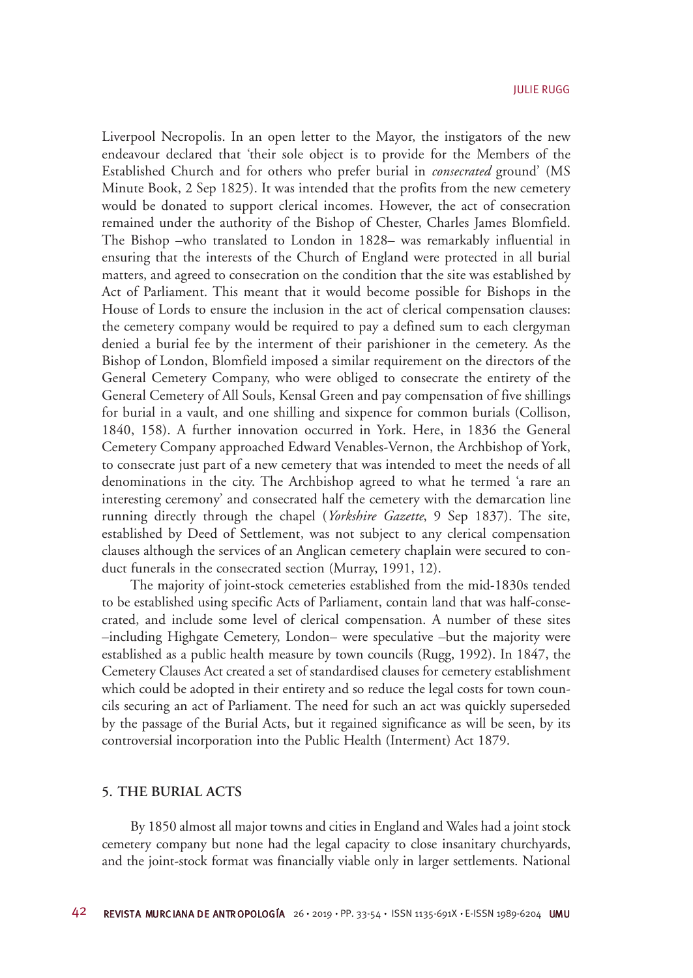Liverpool Necropolis. In an open letter to the Mayor, the instigators of the new endeavour declared that 'their sole object is to provide for the Members of the Established Church and for others who prefer burial in *consecrated* ground' (MS Minute Book, 2 Sep 1825). It was intended that the profits from the new cemetery would be donated to support clerical incomes. However, the act of consecration remained under the authority of the Bishop of Chester, Charles James Blomfield. The Bishop –who translated to London in 1828– was remarkably influential in ensuring that the interests of the Church of England were protected in all burial matters, and agreed to consecration on the condition that the site was established by Act of Parliament. This meant that it would become possible for Bishops in the House of Lords to ensure the inclusion in the act of clerical compensation clauses: the cemetery company would be required to pay a defined sum to each clergyman denied a burial fee by the interment of their parishioner in the cemetery. As the Bishop of London, Blomfield imposed a similar requirement on the directors of the General Cemetery Company, who were obliged to consecrate the entirety of the General Cemetery of All Souls, Kensal Green and pay compensation of five shillings for burial in a vault, and one shilling and sixpence for common burials (Collison, 1840, 158). A further innovation occurred in York. Here, in 1836 the General Cemetery Company approached Edward Venables-Vernon, the Archbishop of York, to consecrate just part of a new cemetery that was intended to meet the needs of all denominations in the city. The Archbishop agreed to what he termed 'a rare an interesting ceremony' and consecrated half the cemetery with the demarcation line running directly through the chapel (*Yorkshire Gazette*, 9 Sep 1837). The site, established by Deed of Settlement, was not subject to any clerical compensation clauses although the services of an Anglican cemetery chaplain were secured to conduct funerals in the consecrated section (Murray, 1991, 12).

The majority of joint-stock cemeteries established from the mid-1830s tended to be established using specific Acts of Parliament, contain land that was half-consecrated, and include some level of clerical compensation. A number of these sites –including Highgate Cemetery, London– were speculative –but the majority were established as a public health measure by town councils (Rugg, 1992). In 1847, the Cemetery Clauses Act created a set of standardised clauses for cemetery establishment which could be adopted in their entirety and so reduce the legal costs for town councils securing an act of Parliament. The need for such an act was quickly superseded by the passage of the Burial Acts, but it regained significance as will be seen, by its controversial incorporation into the Public Health (Interment) Act 1879.

## **5. THE BURIAL ACTS**

By 1850 almost all major towns and cities in England and Wales had a joint stock cemetery company but none had the legal capacity to close insanitary churchyards, and the joint-stock format was financially viable only in larger settlements. National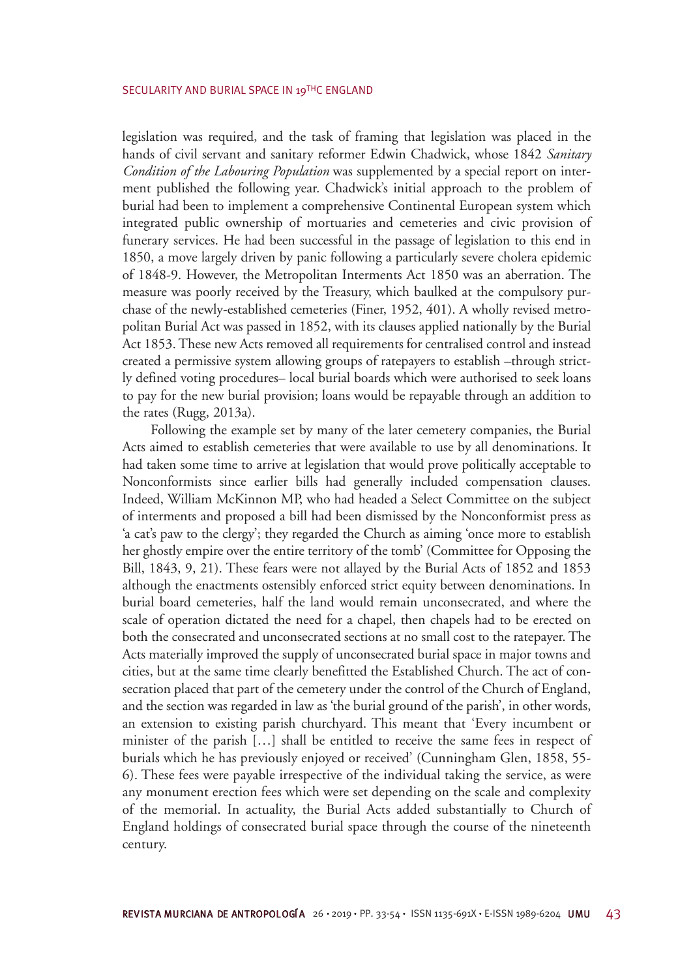legislation was required, and the task of framing that legislation was placed in the hands of civil servant and sanitary reformer Edwin Chadwick, whose 1842 *Sanitary Condition of the Labouring Population* was supplemented by a special report on interment published the following year. Chadwick's initial approach to the problem of burial had been to implement a comprehensive Continental European system which integrated public ownership of mortuaries and cemeteries and civic provision of funerary services. He had been successful in the passage of legislation to this end in 1850, a move largely driven by panic following a particularly severe cholera epidemic of 1848-9. However, the Metropolitan Interments Act 1850 was an aberration. The measure was poorly received by the Treasury, which baulked at the compulsory purchase of the newly-established cemeteries (Finer, 1952, 401). A wholly revised metropolitan Burial Act was passed in 1852, with its clauses applied nationally by the Burial Act 1853. These new Acts removed all requirements for centralised control and instead created a permissive system allowing groups of ratepayers to establish –through strictly defined voting procedures– local burial boards which were authorised to seek loans to pay for the new burial provision; loans would be repayable through an addition to the rates (Rugg, 2013a).

Following the example set by many of the later cemetery companies, the Burial Acts aimed to establish cemeteries that were available to use by all denominations. It had taken some time to arrive at legislation that would prove politically acceptable to Nonconformists since earlier bills had generally included compensation clauses. Indeed, William McKinnon MP, who had headed a Select Committee on the subject of interments and proposed a bill had been dismissed by the Nonconformist press as 'a cat's paw to the clergy'; they regarded the Church as aiming 'once more to establish her ghostly empire over the entire territory of the tomb' (Committee for Opposing the Bill, 1843, 9, 21). These fears were not allayed by the Burial Acts of 1852 and 1853 although the enactments ostensibly enforced strict equity between denominations. In burial board cemeteries, half the land would remain unconsecrated, and where the scale of operation dictated the need for a chapel, then chapels had to be erected on both the consecrated and unconsecrated sections at no small cost to the ratepayer. The Acts materially improved the supply of unconsecrated burial space in major towns and cities, but at the same time clearly benefitted the Established Church. The act of consecration placed that part of the cemetery under the control of the Church of England, and the section was regarded in law as 'the burial ground of the parish', in other words, an extension to existing parish churchyard. This meant that 'Every incumbent or minister of the parish […] shall be entitled to receive the same fees in respect of burials which he has previously enjoyed or received' (Cunningham Glen, 1858, 55- 6). These fees were payable irrespective of the individual taking the service, as were any monument erection fees which were set depending on the scale and complexity of the memorial. In actuality, the Burial Acts added substantially to Church of England holdings of consecrated burial space through the course of the nineteenth century.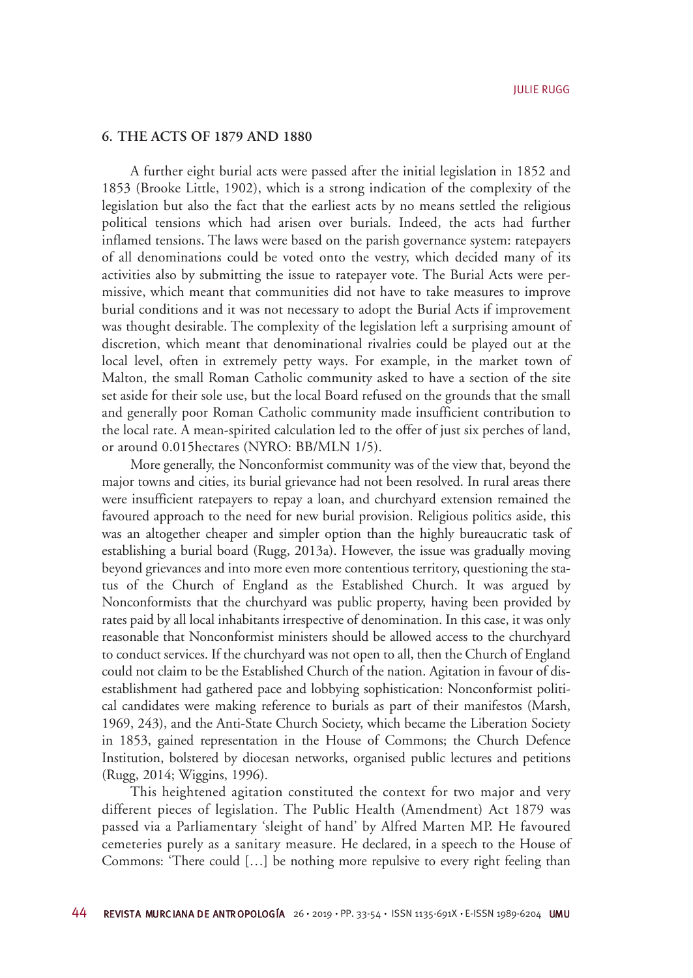## **6. THE ACTS OF 1879 AND 1880**

A further eight burial acts were passed after the initial legislation in 1852 and 1853 (Brooke Little, 1902), which is a strong indication of the complexity of the legislation but also the fact that the earliest acts by no means settled the religious political tensions which had arisen over burials. Indeed, the acts had further inflamed tensions. The laws were based on the parish governance system: ratepayers of all denominations could be voted onto the vestry, which decided many of its activities also by submitting the issue to ratepayer vote. The Burial Acts were permissive, which meant that communities did not have to take measures to improve burial conditions and it was not necessary to adopt the Burial Acts if improvement was thought desirable. The complexity of the legislation left a surprising amount of discretion, which meant that denominational rivalries could be played out at the local level, often in extremely petty ways. For example, in the market town of Malton, the small Roman Catholic community asked to have a section of the site set aside for their sole use, but the local Board refused on the grounds that the small and generally poor Roman Catholic community made insufficient contribution to the local rate. A mean-spirited calculation led to the offer of just six perches of land, or around 0.015hectares (NYRO: BB/MLN 1/5).

More generally, the Nonconformist community was of the view that, beyond the major towns and cities, its burial grievance had not been resolved. In rural areas there were insufficient ratepayers to repay a loan, and churchyard extension remained the favoured approach to the need for new burial provision. Religious politics aside, this was an altogether cheaper and simpler option than the highly bureaucratic task of establishing a burial board (Rugg, 2013a). However, the issue was gradually moving beyond grievances and into more even more contentious territory, questioning the status of the Church of England as the Established Church. It was argued by Nonconformists that the churchyard was public property, having been provided by rates paid by all local inhabitants irrespective of denomination. In this case, it was only reasonable that Nonconformist ministers should be allowed access to the churchyard to conduct services. If the churchyard was not open to all, then the Church of England could not claim to be the Established Church of the nation. Agitation in favour of disestablishment had gathered pace and lobbying sophistication: Nonconformist political candidates were making reference to burials as part of their manifestos (Marsh, 1969, 243), and the Anti-State Church Society, which became the Liberation Society in 1853, gained representation in the House of Commons; the Church Defence Institution, bolstered by diocesan networks, organised public lectures and petitions (Rugg, 2014; Wiggins, 1996).

This heightened agitation constituted the context for two major and very different pieces of legislation. The Public Health (Amendment) Act 1879 was passed via a Parliamentary 'sleight of hand' by Alfred Marten MP. He favoured cemeteries purely as a sanitary measure. He declared, in a speech to the House of Commons: 'There could […] be nothing more repulsive to every right feeling than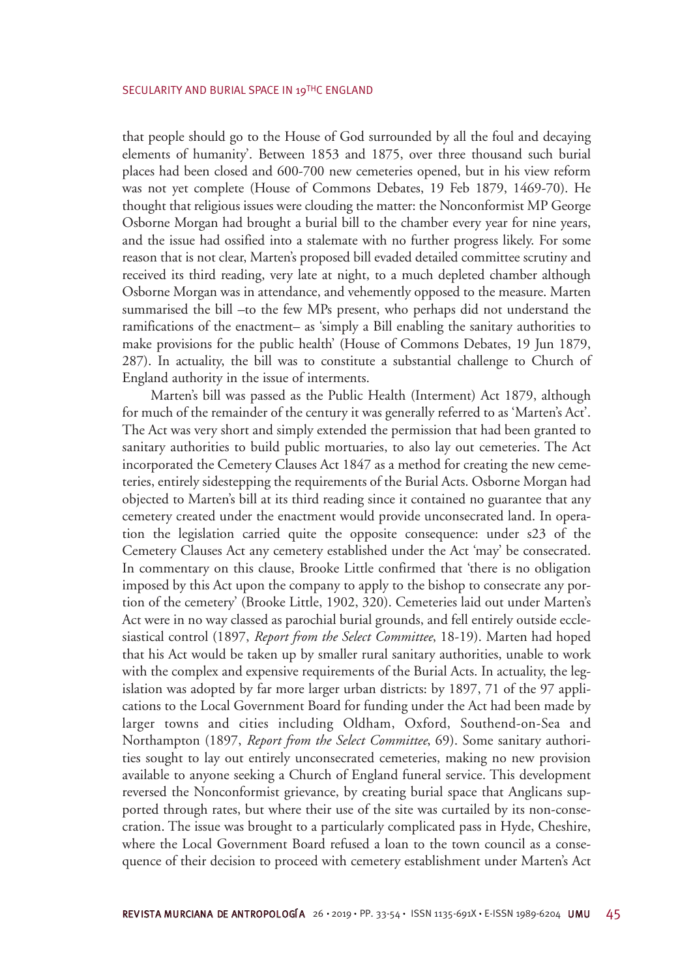that people should go to the House of God surrounded by all the foul and decaying elements of humanity'. Between 1853 and 1875, over three thousand such burial places had been closed and 600-700 new cemeteries opened, but in his view reform was not yet complete (House of Commons Debates, 19 Feb 1879, 1469-70). He thought that religious issues were clouding the matter: the Nonconformist MP George Osborne Morgan had brought a burial bill to the chamber every year for nine years, and the issue had ossified into a stalemate with no further progress likely. For some reason that is not clear, Marten's proposed bill evaded detailed committee scrutiny and received its third reading, very late at night, to a much depleted chamber although Osborne Morgan was in attendance, and vehemently opposed to the measure. Marten summarised the bill –to the few MPs present, who perhaps did not understand the ramifications of the enactment– as 'simply a Bill enabling the sanitary authorities to make provisions for the public health' (House of Commons Debates, 19 Jun 1879, 287). In actuality, the bill was to constitute a substantial challenge to Church of England authority in the issue of interments.

Marten's bill was passed as the Public Health (Interment) Act 1879, although for much of the remainder of the century it was generally referred to as 'Marten's Act'. The Act was very short and simply extended the permission that had been granted to sanitary authorities to build public mortuaries, to also lay out cemeteries. The Act incorporated the Cemetery Clauses Act 1847 as a method for creating the new cemeteries, entirely sidestepping the requirements of the Burial Acts. Osborne Morgan had objected to Marten's bill at its third reading since it contained no guarantee that any cemetery created under the enactment would provide unconsecrated land. In operation the legislation carried quite the opposite consequence: under s23 of the Cemetery Clauses Act any cemetery established under the Act 'may' be consecrated. In commentary on this clause, Brooke Little confirmed that 'there is no obligation imposed by this Act upon the company to apply to the bishop to consecrate any portion of the cemetery' (Brooke Little, 1902, 320). Cemeteries laid out under Marten's Act were in no way classed as parochial burial grounds, and fell entirely outside ecclesiastical control (1897, *Report from the Select Committee*, 18-19). Marten had hoped that his Act would be taken up by smaller rural sanitary authorities, unable to work with the complex and expensive requirements of the Burial Acts. In actuality, the legislation was adopted by far more larger urban districts: by 1897, 71 of the 97 applications to the Local Government Board for funding under the Act had been made by larger towns and cities including Oldham, Oxford, Southend-on-Sea and Northampton (1897, *Report from the Select Committee*, 69). Some sanitary authorities sought to lay out entirely unconsecrated cemeteries, making no new provision available to anyone seeking a Church of England funeral service. This development reversed the Nonconformist grievance, by creating burial space that Anglicans supported through rates, but where their use of the site was curtailed by its non-consecration. The issue was brought to a particularly complicated pass in Hyde, Cheshire, where the Local Government Board refused a loan to the town council as a consequence of their decision to proceed with cemetery establishment under Marten's Act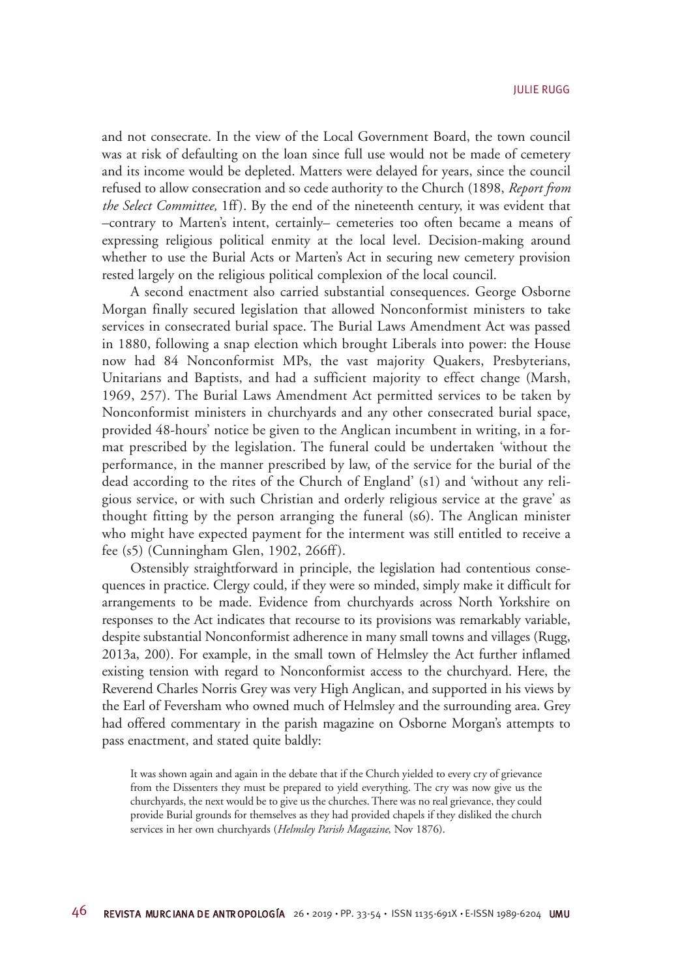and not consecrate. In the view of the Local Government Board, the town council was at risk of defaulting on the loan since full use would not be made of cemetery and its income would be depleted. Matters were delayed for years, since the council refused to allow consecration and so cede authority to the Church (1898, *Report from the Select Committee,* 1ff). By the end of the nineteenth century, it was evident that –contrary to Marten's intent, certainly– cemeteries too often became a means of expressing religious political enmity at the local level. Decision-making around whether to use the Burial Acts or Marten's Act in securing new cemetery provision rested largely on the religious political complexion of the local council.

A second enactment also carried substantial consequences. George Osborne Morgan finally secured legislation that allowed Nonconformist ministers to take services in consecrated burial space. The Burial Laws Amendment Act was passed in 1880, following a snap election which brought Liberals into power: the House now had 84 Nonconformist MPs, the vast majority Quakers, Presbyterians, Unitarians and Baptists, and had a sufficient majority to effect change (Marsh, 1969, 257). The Burial Laws Amendment Act permitted services to be taken by Nonconformist ministers in churchyards and any other consecrated burial space, provided 48-hours' notice be given to the Anglican incumbent in writing, in a format prescribed by the legislation. The funeral could be undertaken 'without the performance, in the manner prescribed by law, of the service for the burial of the dead according to the rites of the Church of England' (s1) and 'without any religious service, or with such Christian and orderly religious service at the grave' as thought fitting by the person arranging the funeral (s6). The Anglican minister who might have expected payment for the interment was still entitled to receive a fee (s5) (Cunningham Glen, 1902, 266ff).

Ostensibly straightforward in principle, the legislation had contentious consequences in practice. Clergy could, if they were so minded, simply make it difficult for arrangements to be made. Evidence from churchyards across North Yorkshire on responses to the Act indicates that recourse to its provisions was remarkably variable, despite substantial Nonconformist adherence in many small towns and villages (Rugg, 2013a, 200). For example, in the small town of Helmsley the Act further inflamed existing tension with regard to Nonconformist access to the churchyard. Here, the Reverend Charles Norris Grey was very High Anglican, and supported in his views by the Earl of Feversham who owned much of Helmsley and the surrounding area. Grey had offered commentary in the parish magazine on Osborne Morgan's attempts to pass enactment, and stated quite baldly:

It was shown again and again in the debate that if the Church yielded to every cry of grievance from the Dissenters they must be prepared to yield everything. The cry was now give us the churchyards, the next would be to give us the churches. There was no real grievance, they could provide Burial grounds for themselves as they had provided chapels if they disliked the church services in her own churchyards (*Helmsley Parish Magazine*, Nov 1876).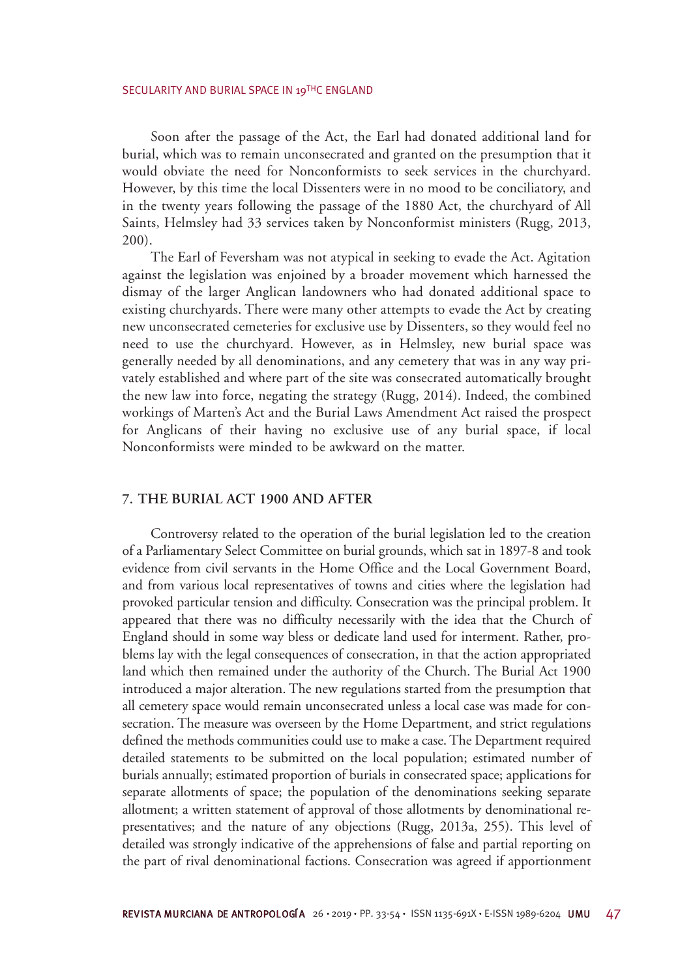Soon after the passage of the Act, the Earl had donated additional land for burial, which was to remain unconsecrated and granted on the presumption that it would obviate the need for Nonconformists to seek services in the churchyard. However, by this time the local Dissenters were in no mood to be conciliatory, and in the twenty years following the passage of the 1880 Act, the churchyard of All Saints, Helmsley had 33 services taken by Nonconformist ministers (Rugg, 2013, 200).

The Earl of Feversham was not atypical in seeking to evade the Act. Agitation against the legislation was enjoined by a broader movement which harnessed the dismay of the larger Anglican landowners who had donated additional space to existing churchyards. There were many other attempts to evade the Act by creating new unconsecrated cemeteries for exclusive use by Dissenters, so they would feel no need to use the churchyard. However, as in Helmsley, new burial space was generally needed by all denominations, and any cemetery that was in any way privately established and where part of the site was consecrated automatically brought the new law into force, negating the strategy (Rugg, 2014). Indeed, the combined workings of Marten's Act and the Burial Laws Amendment Act raised the prospect for Anglicans of their having no exclusive use of any burial space, if local Nonconformists were minded to be awkward on the matter.

## **7. THE BURIAL ACT 1900 AND AFTER**

Controversy related to the operation of the burial legislation led to the creation of a Parliamentary Select Committee on burial grounds, which sat in 1897-8 and took evidence from civil servants in the Home Office and the Local Government Board, and from various local representatives of towns and cities where the legislation had provoked particular tension and difficulty. Consecration was the principal problem. It appeared that there was no difficulty necessarily with the idea that the Church of England should in some way bless or dedicate land used for interment. Rather, problems lay with the legal consequences of consecration, in that the action appropriated land which then remained under the authority of the Church. The Burial Act 1900 introduced a major alteration. The new regulations started from the presumption that all cemetery space would remain unconsecrated unless a local case was made for consecration. The measure was overseen by the Home Department, and strict regulations defined the methods communities could use to make a case. The Department required detailed statements to be submitted on the local population; estimated number of burials annually; estimated proportion of burials in consecrated space; applications for separate allotments of space; the population of the denominations seeking separate allotment; a written statement of approval of those allotments by denominational representatives; and the nature of any objections (Rugg, 2013a, 255). This level of detailed was strongly indicative of the apprehensions of false and partial reporting on the part of rival denominational factions. Consecration was agreed if apportionment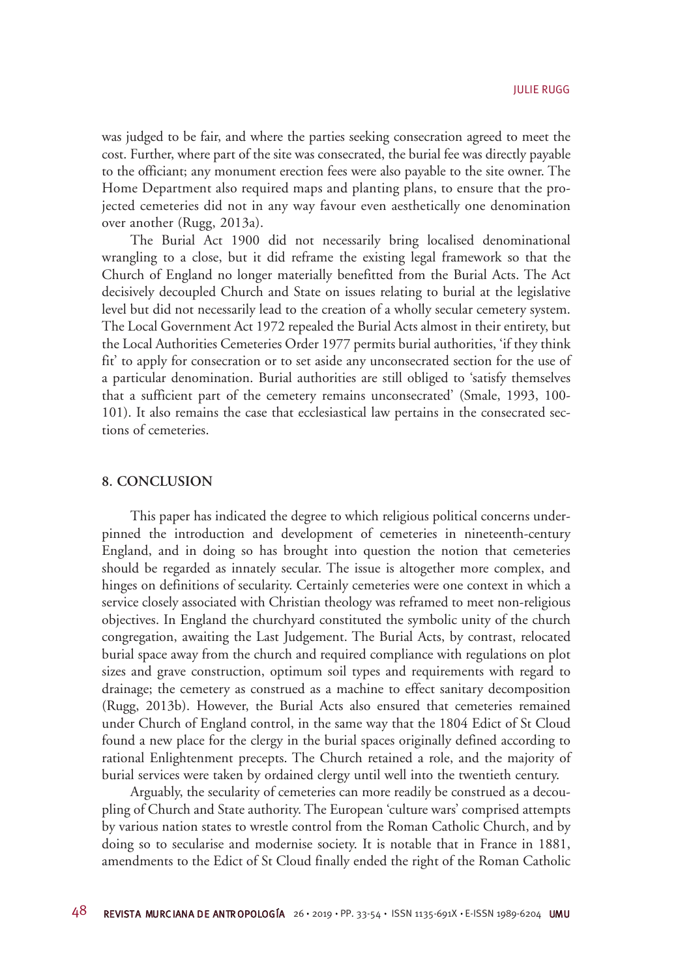was judged to be fair, and where the parties seeking consecration agreed to meet the cost. Further, where part of the site was consecrated, the burial fee was directly payable to the officiant; any monument erection fees were also payable to the site owner. The Home Department also required maps and planting plans, to ensure that the projected cemeteries did not in any way favour even aesthetically one denomination over another (Rugg, 2013a).

The Burial Act 1900 did not necessarily bring localised denominational wrangling to a close, but it did reframe the existing legal framework so that the Church of England no longer materially benefitted from the Burial Acts. The Act decisively decoupled Church and State on issues relating to burial at the legislative level but did not necessarily lead to the creation of a wholly secular cemetery system. The Local Government Act 1972 repealed the Burial Acts almost in their entirety, but the Local Authorities Cemeteries Order 1977 permits burial authorities, 'if they think fit' to apply for consecration or to set aside any unconsecrated section for the use of a particular denomination. Burial authorities are still obliged to 'satisfy themselves that a sufficient part of the cemetery remains unconsecrated' (Smale, 1993, 100- 101). It also remains the case that ecclesiastical law pertains in the consecrated sections of cemeteries.

#### **8. CONCLUSION**

This paper has indicated the degree to which religious political concerns underpinned the introduction and development of cemeteries in nineteenth-century England, and in doing so has brought into question the notion that cemeteries should be regarded as innately secular. The issue is altogether more complex, and hinges on definitions of secularity. Certainly cemeteries were one context in which a service closely associated with Christian theology was reframed to meet non-religious objectives. In England the churchyard constituted the symbolic unity of the church congregation, awaiting the Last Judgement. The Burial Acts, by contrast, relocated burial space away from the church and required compliance with regulations on plot sizes and grave construction, optimum soil types and requirements with regard to drainage; the cemetery as construed as a machine to effect sanitary decomposition (Rugg, 2013b). However, the Burial Acts also ensured that cemeteries remained under Church of England control, in the same way that the 1804 Edict of St Cloud found a new place for the clergy in the burial spaces originally defined according to rational Enlightenment precepts. The Church retained a role, and the majority of burial services were taken by ordained clergy until well into the twentieth century.

Arguably, the secularity of cemeteries can more readily be construed as a decoupling of Church and State authority. The European 'culture wars' comprised attempts by various nation states to wrestle control from the Roman Catholic Church, and by doing so to secularise and modernise society. It is notable that in France in 1881, amendments to the Edict of St Cloud finally ended the right of the Roman Catholic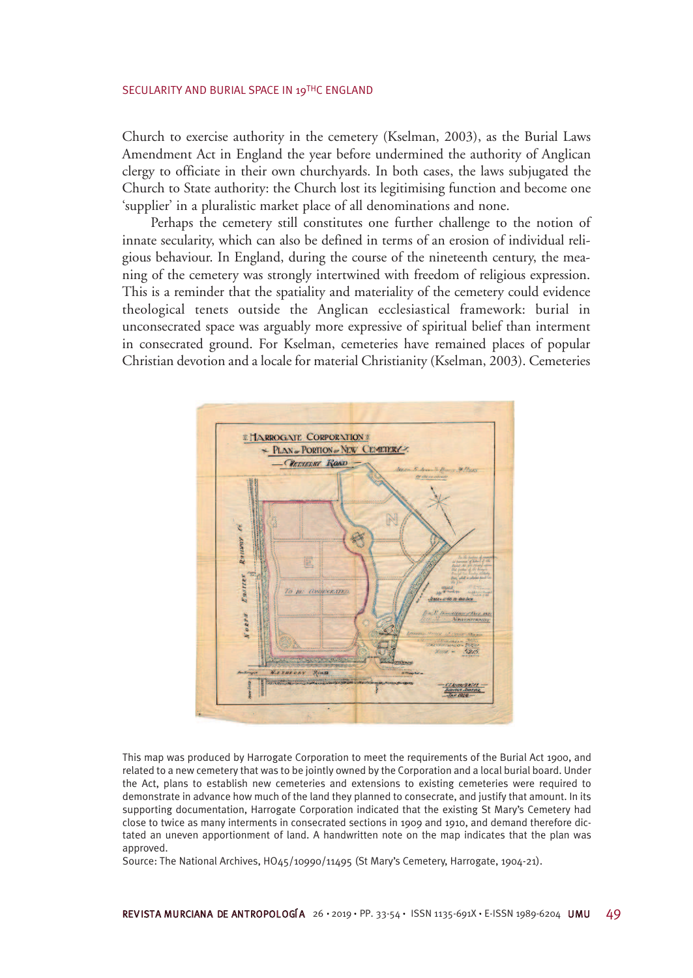Church to exercise authority in the cemetery (Kselman, 2003), as the Burial Laws Amendment Act in England the year before undermined the authority of Anglican clergy to officiate in their own churchyards. In both cases, the laws subjugated the Church to State authority: the Church lost its legitimising function and become one 'supplier' in a pluralistic market place of all denominations and none.

Perhaps the cemetery still constitutes one further challenge to the notion of innate secularity, which can also be defined in terms of an erosion of individual religious behaviour. In England, during the course of the nineteenth century, the meaning of the cemetery was strongly intertwined with freedom of religious expression. This is a reminder that the spatiality and materiality of the cemetery could evidence theological tenets outside the Anglican ecclesiastical framework: burial in unconsecrated space was arguably more expressive of spiritual belief than interment in consecrated ground. For Kselman, cemeteries have remained places of popular Christian devotion and a locale for material Christianity (Kselman, 2003). Cemeteries



This map was produced by Harrogate Corporation to meet the requirements of the Burial Act 1900, and related to a new cemetery that was to be jointly owned by the Corporation and a local burial board. Under the Act, plans to establish new cemeteries and extensions to existing cemeteries were required to demonstrate in advance how much of the land they planned to consecrate, and justify that amount. In its supporting documentation, Harrogate Corporation indicated that the existing St Mary's Cemetery had close to twice as many interments in consecrated sections in 1909 and 1910, and demand therefore dictated an uneven apportionment of land. A handwritten note on the map indicates that the plan was approved.

Source: The National Archives, HO45/10990/11495 (St Mary's Cemetery, Harrogate, 1904-21).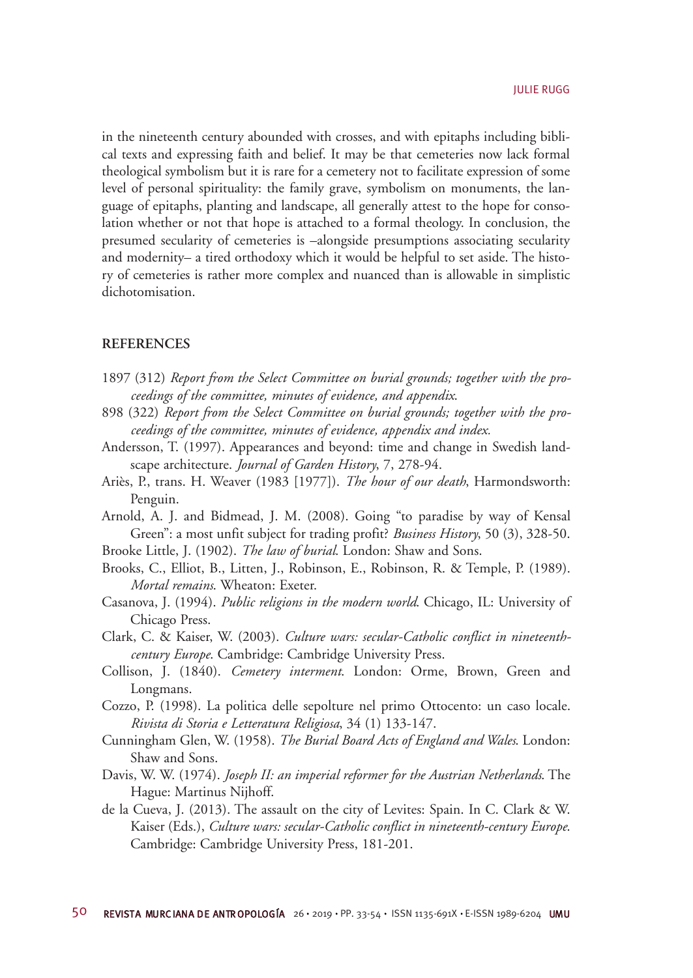in the nineteenth century abounded with crosses, and with epitaphs including biblical texts and expressing faith and belief. It may be that cemeteries now lack formal theological symbolism but it is rare for a cemetery not to facilitate expression of some level of personal spirituality: the family grave, symbolism on monuments, the language of epitaphs, planting and landscape, all generally attest to the hope for consolation whether or not that hope is attached to a formal theology. In conclusion, the presumed secularity of cemeteries is –alongside presumptions associating secularity and modernity– a tired orthodoxy which it would be helpful to set aside. The history of cemeteries is rather more complex and nuanced than is allowable in simplistic dichotomisation.

## **REFERENCES**

- 1897 (312) *Report from the Select Committee on burial grounds; together with the proceedings of the committee, minutes of evidence, and appendix*.
- 898 (322) *Report from the Select Committee on burial grounds; together with the proceedings of the committee, minutes of evidence, appendix and index.*
- Andersson, T. (1997). Appearances and beyond: time and change in Swedish landscape architecture. *Journal of Garden History*, 7, 278-94.
- Ariès, P., trans. H. Weaver (1983 [1977]). *The hour of our death*, Harmondsworth: Penguin.
- Arnold, A. J. and Bidmead, J. M. (2008). Going "to paradise by way of Kensal Green": a most unfit subject for trading profit? *Business History*, 50 (3), 328-50.
- Brooke Little, J. (1902). *The law of burial*. London: Shaw and Sons.
- Brooks, C., Elliot, B., Litten, J., Robinson, E., Robinson, R. & Temple, P. (1989). *Mortal remains*. Wheaton: Exeter.
- Casanova, J. (1994). *Public religions in the modern world*. Chicago, IL: University of Chicago Press.
- Clark, C. & Kaiser, W. (2003). *Culture wars: secular-Catholic conflict in nineteenthcentury Europe*. Cambridge: Cambridge University Press.
- Collison, J. (1840). *Cemetery interment*. London: Orme, Brown, Green and Longmans.
- Cozzo, P. (1998). La politica delle sepolture nel primo Ottocento: un caso locale. *Rivista di Storia e Letteratura Religiosa*, 34 (1) 133-147.
- Cunningham Glen, W. (1958). *The Burial Board Acts of England and Wales*. London: Shaw and Sons.
- Davis, W. W. (1974). *Joseph II: an imperial reformer for the Austrian Netherlands*. The Hague: Martinus Nijhoff.
- de la Cueva, J. (2013). The assault on the city of Levites: Spain. In C. Clark & W. Kaiser (Eds.), *Culture wars: secular-Catholic conflict in nineteenth-century Europe*. Cambridge: Cambridge University Press, 181-201.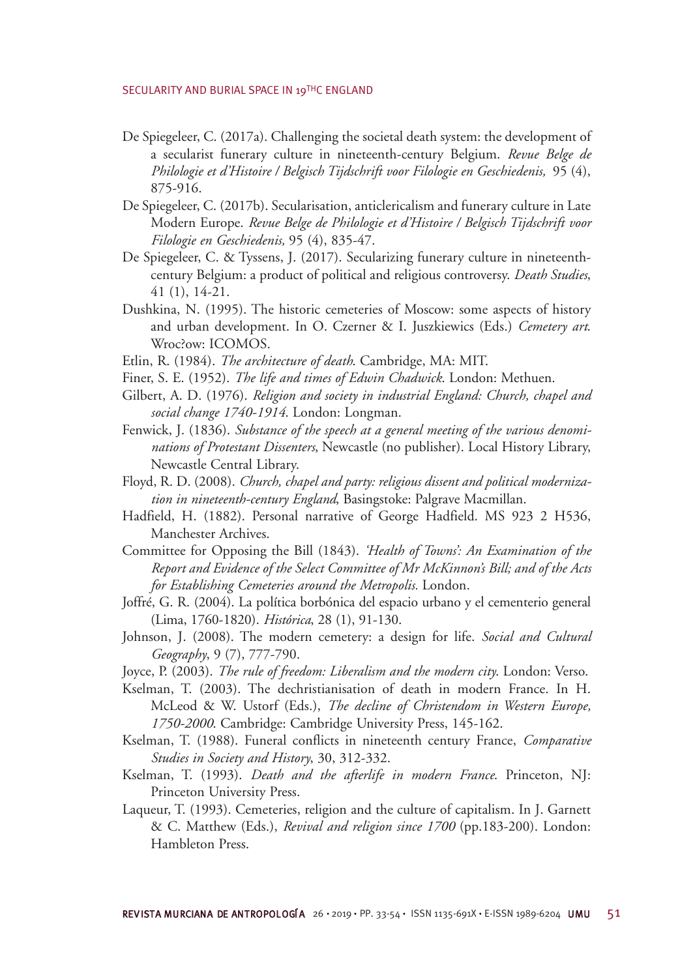- De Spiegeleer, C. (2017a). Challenging the societal death system: the development of a secularist funerary culture in nineteenth-century Belgium. *Revue Belge de Philologie et d'Histoire / Belgisch Tijdschrift voor Filologie en Geschiedenis,* 95 (4), 875-916.
- De Spiegeleer, C. (2017b). Secularisation, anticlericalism and funerary culture in Late Modern Europe. *Revue Belge de Philologie et d'Histoire / Belgisch Tijdschrift voor Filologie en Geschiedenis,* 95 (4), 835-47.
- De Spiegeleer, C. & Tyssens, J. (2017). Secularizing funerary culture in nineteenthcentury Belgium: a product of political and religious controversy. *Death Studies*, 41 (1), 14-21.
- Dushkina, N. (1995). The historic cemeteries of Moscow: some aspects of history and urban development. In O. Czerner & I. Juszkiewics (Eds.) *Cemetery art*. Wroc?ow: ICOMOS.
- Etlin, R. (1984). *The architecture of death*. Cambridge, MA: MIT.
- Finer, S. E. (1952). *The life and times of Edwin Chadwick*. London: Methuen.
- Gilbert, A. D. (1976). *Religion and society in industrial England: Church, chapel and social change 1740-1914*. London: Longman.
- Fenwick, J. (1836). *Substance of the speech at a general meeting of the various denominations of Protestant Dissenters*, Newcastle (no publisher). Local History Library, Newcastle Central Library.
- Floyd, R. D. (2008). *Church, chapel and party: religious dissent and political modernization in nineteenth-century England*, Basingstoke: Palgrave Macmillan.
- Hadfield, H. (1882). Personal narrative of George Hadfield. MS 923 2 H536, Manchester Archives.
- Committee for Opposing the Bill (1843). *'Health of Towns': An Examination of the Report and Evidence of the Select Committee of Mr McKinnon's Bill; and of the Acts for Establishing Cemeteries around the Metropolis.* London.
- Joffré, G. R. (2004). La política borbónica del espacio urbano y el cementerio general (Lima, 1760-1820). *Histórica*, 28 (1), 91-130.
- Johnson, J. (2008). The modern cemetery: a design for life. *Social and Cultural Geography*, 9 (7), 777-790.
- Joyce, P. (2003). *The rule of freedom: Liberalism and the modern city*. London: Verso.
- Kselman, T. (2003). The dechristianisation of death in modern France. In H. McLeod & W. Ustorf (Eds.), *The decline of Christendom in Western Europe, 1750-2000*. Cambridge: Cambridge University Press, 145-162.
- Kselman, T. (1988). Funeral conflicts in nineteenth century France, *Comparative Studies in Society and History*, 30, 312-332.
- Kselman, T. (1993). *Death and the afterlife in modern France*. Princeton, NJ: Princeton University Press.
- Laqueur, T. (1993). Cemeteries, religion and the culture of capitalism. In J. Garnett & C. Matthew (Eds.), *Revival and religion since 1700* (pp.183-200). London: Hambleton Press.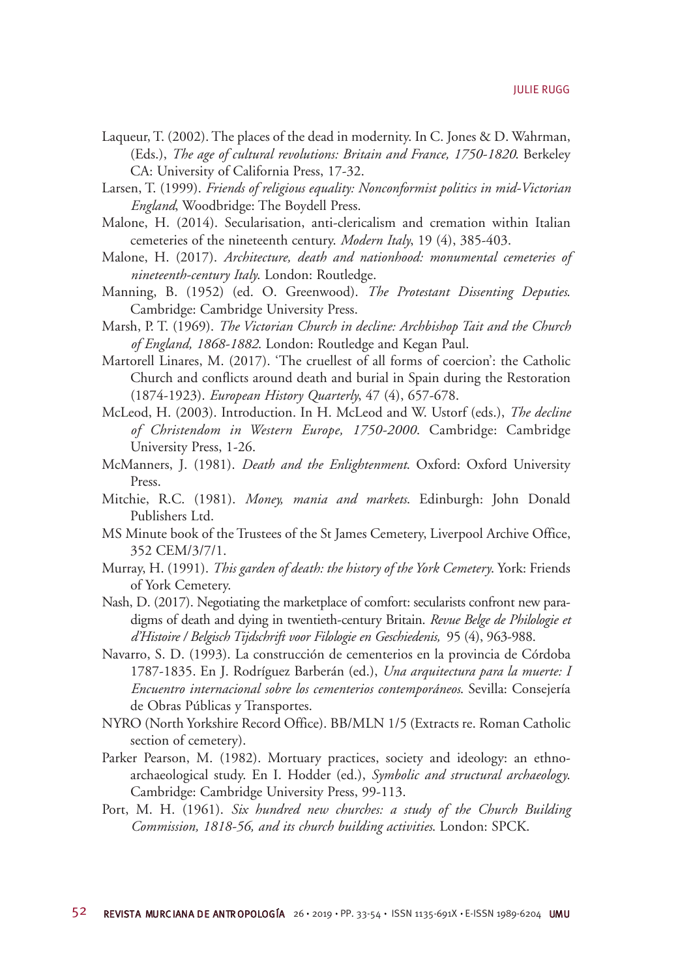- Laqueur, T. (2002). The places of the dead in modernity. In C. Jones & D. Wahrman, (Eds.), *The age of cultural revolutions: Britain and France, 1750-1820*. Berkeley CA: University of California Press, 17-32.
- Larsen, T. (1999). *Friends of religious equality: Nonconformist politics in mid-Victorian England*, Woodbridge: The Boydell Press.
- Malone, H. (2014). Secularisation, anti-clericalism and cremation within Italian cemeteries of the nineteenth century. *Modern Italy*, 19 (4), 385-403.
- Malone, H. (2017). *Architecture, death and nationhood: monumental cemeteries of nineteenth-century Italy*. London: Routledge.
- Manning, B. (1952) (ed. O. Greenwood). *The Protestant Dissenting Deputies*. Cambridge: Cambridge University Press.
- Marsh, P. T. (1969). *The Victorian Church in decline: Archbishop Tait and the Church of England, 1868-1882*. London: Routledge and Kegan Paul.
- Martorell Linares, M. (2017). 'The cruellest of all forms of coercion': the Catholic Church and conflicts around death and burial in Spain during the Restoration (1874-1923). *European History Quarterly*, 47 (4), 657-678.
- McLeod, H. (2003). Introduction. In H. McLeod and W. Ustorf (eds.), *The decline of Christendom in Western Europe, 1750-2000*. Cambridge: Cambridge University Press, 1-26.
- McManners, J. (1981). *Death and the Enlightenment*. Oxford: Oxford University Press.
- Mitchie, R.C. (1981). *Money, mania and markets*. Edinburgh: John Donald Publishers Ltd.
- MS Minute book of the Trustees of the St James Cemetery, Liverpool Archive Office, 352 CEM/3/7/1.
- Murray, H. (1991). *This garden of death: the history of the York Cemetery*. York: Friends of York Cemetery.
- Nash, D. (2017). Negotiating the marketplace of comfort: secularists confront new paradigms of death and dying in twentieth-century Britain. *Revue Belge de Philologie et d'Histoire / Belgisch Tijdschrift voor Filologie en Geschiedenis,* 95 (4), 963-988.
- Navarro, S. D. (1993). La construcción de cementerios en la provincia de Córdoba 1787-1835. En J. Rodríguez Barberán (ed.), *Una arquitectura para la muerte: I Encuentro internacional sobre los cementerios contemporáneos*. Sevilla: Consejería de Obras Públicas y Transportes.
- NYRO (North Yorkshire Record Office). BB/MLN 1/5 (Extracts re. Roman Catholic section of cemetery).
- Parker Pearson, M. (1982). Mortuary practices, society and ideology: an ethnoarchaeological study. En I. Hodder (ed.), *Symbolic and structural archaeology*. Cambridge: Cambridge University Press, 99-113.
- Port, M. H. (1961). *Six hundred new churches: a study of the Church Building Commission, 1818-56, and its church building activities*. London: SPCK.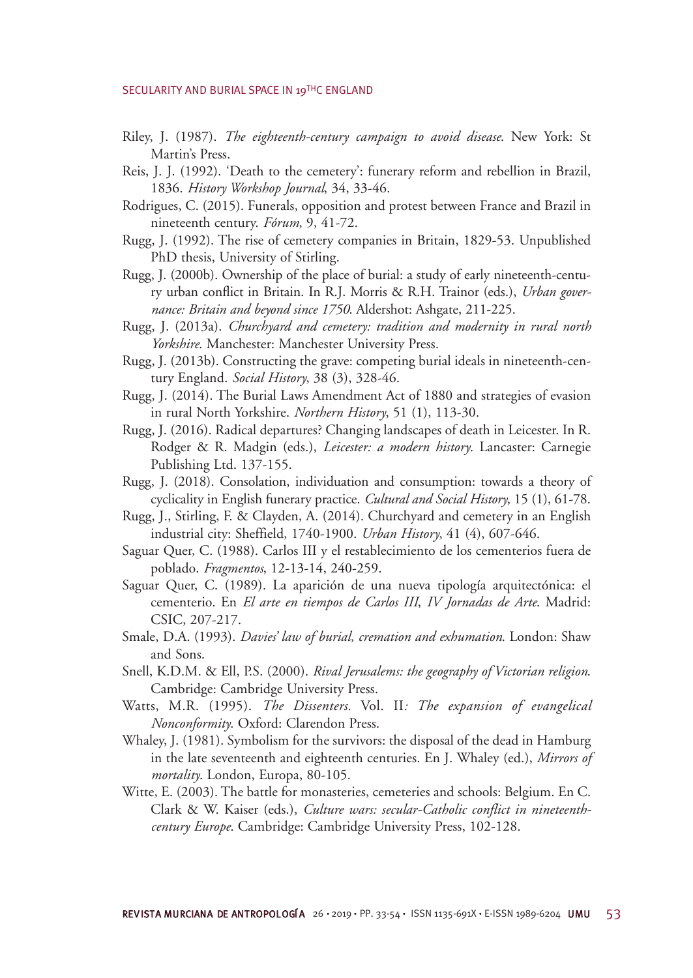- Riley, J. (1987). *The eighteenth-century campaign to avoid disease*. New York: St Martin's Press.
- Reis, J. J. (1992). 'Death to the cemetery': funerary reform and rebellion in Brazil, 1836. *History Workshop Journal*, 34, 33-46.
- Rodrigues, C. (2015). Funerals, opposition and protest between France and Brazil in nineteenth century. *Fórum*, 9, 41-72.
- Rugg, J. (1992). The rise of cemetery companies in Britain, 1829-53. Unpublished PhD thesis, University of Stirling.
- Rugg, J. (2000b). Ownership of the place of burial: a study of early nineteenth-century urban conflict in Britain. In R.J. Morris & R.H. Trainor (eds.), *Urban governance: Britain and beyond since 1750*. Aldershot: Ashgate, 211-225.
- Rugg, J. (2013a). *Churchyard and cemetery: tradition and modernity in rural north Yorkshire*. Manchester: Manchester University Press.
- Rugg, J. (2013b). Constructing the grave: competing burial ideals in nineteenth-century England. *Social History*, 38 (3), 328-46.
- Rugg, J. (2014). The Burial Laws Amendment Act of 1880 and strategies of evasion in rural North Yorkshire. *Northern History*, 51 (1), 113-30.
- Rugg, J. (2016). Radical departures? Changing landscapes of death in Leicester. In R. Rodger & R. Madgin (eds.), *Leicester: a modern history*. Lancaster: Carnegie Publishing Ltd. 137-155.
- Rugg, J. (2018). Consolation, individuation and consumption: towards a theory of cyclicality in English funerary practice. *Cultural and Social History*, 15 (1), 61-78.
- Rugg, J., Stirling, F. & Clayden, A. (2014). Churchyard and cemetery in an English industrial city: Sheffield, 1740-1900. *Urban History*, 41 (4), 607-646.
- Saguar Quer, C. (1988). Carlos III y el restablecimiento de los cementerios fuera de poblado. *Fragmentos*, 12-13-14, 240-259.
- Saguar Quer, C. (1989). La aparición de una nueva tipología arquitectónica: el cementerio. En *El arte en tiempos de Carlos III*, *IV Jornadas de Arte*. Madrid: CSIC, 207-217.
- Smale, D.A. (1993). *Davies' law of burial, cremation and exhumation*. London: Shaw and Sons.
- Snell, K.D.M. & Ell, P.S. (2000). *Rival Jerusalems: the geography of Victorian religion*. Cambridge: Cambridge University Press.
- Watts, M.R. (1995). *The Dissenters.* Vol. II*: The expansion of evangelical Nonconformity*. Oxford: Clarendon Press.
- Whaley, J. (1981). Symbolism for the survivors: the disposal of the dead in Hamburg in the late seventeenth and eighteenth centuries. En J. Whaley (ed.), *Mirrors of mortality*. London, Europa, 80-105.
- Witte, E. (2003). The battle for monasteries, cemeteries and schools: Belgium. En C. Clark & W. Kaiser (eds.), *Culture wars: secular-Catholic conflict in nineteenthcentury Europe*. Cambridge: Cambridge University Press, 102-128.